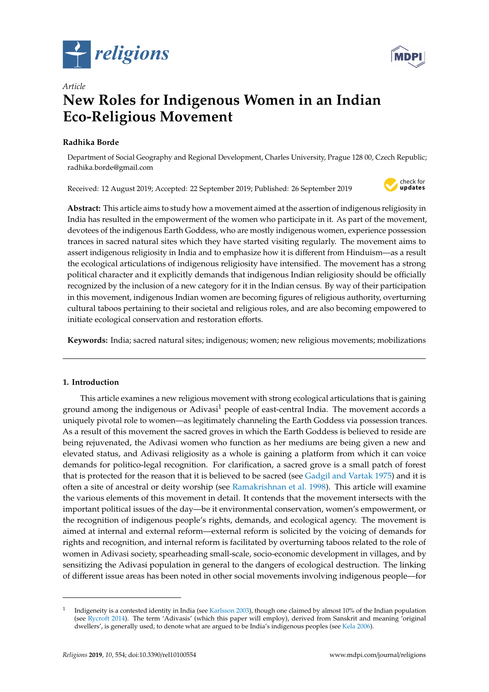



# *Article* **New Roles for Indigenous Women in an Indian Eco-Religious Movement**

# **Radhika Borde**

Department of Social Geography and Regional Development, Charles University, Prague 128 00, Czech Republic; radhika.borde@gmail.com

Received: 12 August 2019; Accepted: 22 September 2019; Published: 26 September 2019



**Abstract:** This article aims to study how a movement aimed at the assertion of indigenous religiosity in India has resulted in the empowerment of the women who participate in it. As part of the movement, devotees of the indigenous Earth Goddess, who are mostly indigenous women, experience possession trances in sacred natural sites which they have started visiting regularly. The movement aims to assert indigenous religiosity in India and to emphasize how it is different from Hinduism—as a result the ecological articulations of indigenous religiosity have intensified. The movement has a strong political character and it explicitly demands that indigenous Indian religiosity should be officially recognized by the inclusion of a new category for it in the Indian census. By way of their participation in this movement, indigenous Indian women are becoming figures of religious authority, overturning cultural taboos pertaining to their societal and religious roles, and are also becoming empowered to initiate ecological conservation and restoration efforts.

**Keywords:** India; sacred natural sites; indigenous; women; new religious movements; mobilizations

# **1. Introduction**

This article examines a new religious movement with strong ecological articulations that is gaining ground among the indigenous or  $Adivasi<sup>1</sup>$  people of east-central India. The movement accords a uniquely pivotal role to women—as legitimately channeling the Earth Goddess via possession trances. As a result of this movement the sacred groves in which the Earth Goddess is believed to reside are being rejuvenated, the Adivasi women who function as her mediums are being given a new and elevated status, and Adivasi religiosity as a whole is gaining a platform from which it can voice demands for politico-legal recognition. For clarification, a sacred grove is a small patch of forest that is protected for the reason that it is believed to be sacred (see [Gadgil and Vartak](#page-10-0) [1975\)](#page-10-0) and it is often a site of ancestral or deity worship (see [Ramakrishnan et al.](#page-11-0) [1998\)](#page-11-0). This article will examine the various elements of this movement in detail. It contends that the movement intersects with the important political issues of the day—be it environmental conservation, women's empowerment, or the recognition of indigenous people's rights, demands, and ecological agency. The movement is aimed at internal and external reform—external reform is solicited by the voicing of demands for rights and recognition, and internal reform is facilitated by overturning taboos related to the role of women in Adivasi society, spearheading small-scale, socio-economic development in villages, and by sensitizing the Adivasi population in general to the dangers of ecological destruction. The linking of different issue areas has been noted in other social movements involving indigenous people—for

<sup>1</sup> Indigeneity is a contested identity in India (see [Karlsson](#page-10-1) [2003\)](#page-10-1), though one claimed by almost 10% of the Indian population (see [Rycroft](#page-11-1) [2014\)](#page-11-1). The term 'Adivasis' (which this paper will employ), derived from Sanskrit and meaning 'original dwellers', is generally used, to denote what are argued to be India's indigenous peoples (see [Kela](#page-10-2) [2006\)](#page-10-2).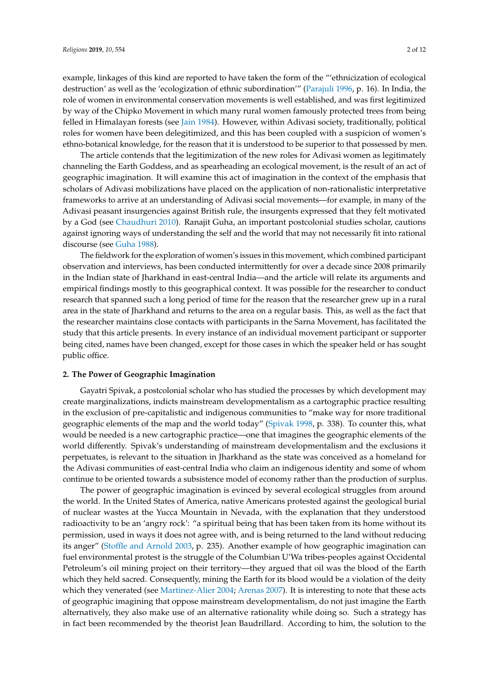example, linkages of this kind are reported to have taken the form of the "'ethnicization of ecological destruction' as well as the 'ecologization of ethnic subordination'" [\(Parajuli](#page-11-2) [1996,](#page-11-2) p. 16). In India, the role of women in environmental conservation movements is well established, and was first legitimized by way of the Chipko Movement in which many rural women famously protected trees from being felled in Himalayan forests (see [Jain](#page-10-3) [1984\)](#page-10-3). However, within Adivasi society, traditionally, political roles for women have been delegitimized, and this has been coupled with a suspicion of women's ethno-botanical knowledge, for the reason that it is understood to be superior to that possessed by men.

The article contends that the legitimization of the new roles for Adivasi women as legitimately channeling the Earth Goddess, and as spearheading an ecological movement, is the result of an act of geographic imagination. It will examine this act of imagination in the context of the emphasis that scholars of Adivasi mobilizations have placed on the application of non-rationalistic interpretative frameworks to arrive at an understanding of Adivasi social movements—for example, in many of the Adivasi peasant insurgencies against British rule, the insurgents expressed that they felt motivated by a God (see [Chaudhuri](#page-10-4) [2010\)](#page-10-4). Ranajit Guha, an important postcolonial studies scholar, cautions against ignoring ways of understanding the self and the world that may not necessarily fit into rational discourse (see [Guha](#page-10-5) [1988\)](#page-10-5).

The fieldwork for the exploration of women's issues in this movement, which combined participant observation and interviews, has been conducted intermittently for over a decade since 2008 primarily in the Indian state of Jharkhand in east-central India—and the article will relate its arguments and empirical findings mostly to this geographical context. It was possible for the researcher to conduct research that spanned such a long period of time for the reason that the researcher grew up in a rural area in the state of Jharkhand and returns to the area on a regular basis. This, as well as the fact that the researcher maintains close contacts with participants in the Sarna Movement, has facilitated the study that this article presents. In every instance of an individual movement participant or supporter being cited, names have been changed, except for those cases in which the speaker held or has sought public office.

# **2. The Power of Geographic Imagination**

Gayatri Spivak, a postcolonial scholar who has studied the processes by which development may create marginalizations, indicts mainstream developmentalism as a cartographic practice resulting in the exclusion of pre-capitalistic and indigenous communities to "make way for more traditional geographic elements of the map and the world today" [\(Spivak](#page-11-3) [1998,](#page-11-3) p. 338). To counter this, what would be needed is a new cartographic practice—one that imagines the geographic elements of the world differently. Spivak's understanding of mainstream developmentalism and the exclusions it perpetuates, is relevant to the situation in Jharkhand as the state was conceived as a homeland for the Adivasi communities of east-central India who claim an indigenous identity and some of whom continue to be oriented towards a subsistence model of economy rather than the production of surplus.

The power of geographic imagination is evinced by several ecological struggles from around the world. In the United States of America, native Americans protested against the geological burial of nuclear wastes at the Yucca Mountain in Nevada, with the explanation that they understood radioactivity to be an 'angry rock': "a spiritual being that has been taken from its home without its permission, used in ways it does not agree with, and is being returned to the land without reducing its anger" (Stoffl[e and Arnold](#page-11-4) [2003,](#page-11-4) p. 235). Another example of how geographic imagination can fuel environmental protest is the struggle of the Columbian U'Wa tribes-peoples against Occidental Petroleum's oil mining project on their territory—they argued that oil was the blood of the Earth which they held sacred. Consequently, mining the Earth for its blood would be a violation of the deity which they venerated (see [Martinez-Alier](#page-11-5) [2004;](#page-11-5) [Arenas](#page-10-6) [2007\)](#page-10-6). It is interesting to note that these acts of geographic imagining that oppose mainstream developmentalism, do not just imagine the Earth alternatively, they also make use of an alternative rationality while doing so. Such a strategy has in fact been recommended by the theorist Jean Baudrillard. According to him, the solution to the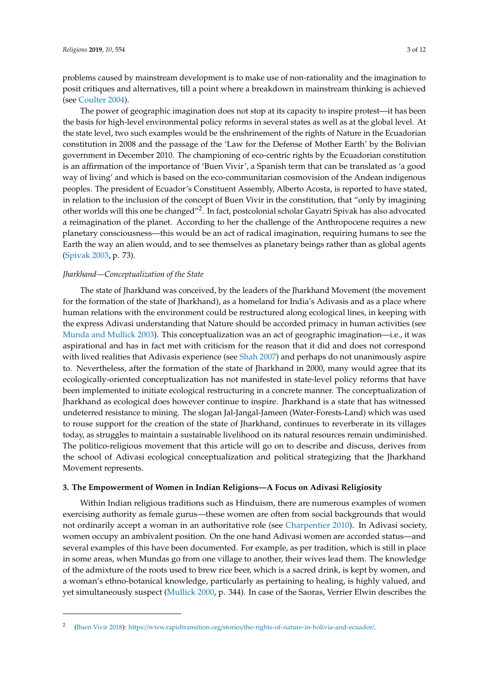problems caused by mainstream development is to make use of non-rationality and the imagination to posit critiques and alternatives, till a point where a breakdown in mainstream thinking is achieved (see [Coulter](#page-10-7) [2004\)](#page-10-7).

The power of geographic imagination does not stop at its capacity to inspire protest—it has been the basis for high-level environmental policy reforms in several states as well as at the global level. At the state level, two such examples would be the enshrinement of the rights of Nature in the Ecuadorian constitution in 2008 and the passage of the 'Law for the Defense of Mother Earth' by the Bolivian government in December 2010. The championing of eco-centric rights by the Ecuadorian constitution is an affirmation of the importance of 'Buen Vivir', a Spanish term that can be translated as 'a good way of living' and which is based on the eco-communitarian cosmovision of the Andean indigenous peoples. The president of Ecuador's Constituent Assembly, Alberto Acosta, is reported to have stated, in relation to the inclusion of the concept of Buen Vivir in the constitution, that "only by imagining other worlds will this one be changed"<sup>2</sup>. In fact, postcolonial scholar Gayatri Spivak has also advocated a reimagination of the planet. According to her the challenge of the Anthropocene requires a new planetary consciousness—this would be an act of radical imagination, requiring humans to see the Earth the way an alien would, and to see themselves as planetary beings rather than as global agents [\(Spivak](#page-11-6) [2003,](#page-11-6) p. 73).

# *Jharkhand—Conceptualization of the State*

The state of Jharkhand was conceived, by the leaders of the Jharkhand Movement (the movement for the formation of the state of Jharkhand), as a homeland for India's Adivasis and as a place where human relations with the environment could be restructured along ecological lines, in keeping with the express Adivasi understanding that Nature should be accorded primacy in human activities (see [Munda and Mullick](#page-11-7) [2003\)](#page-11-7). This conceptualization was an act of geographic imagination—i.e., it was aspirational and has in fact met with criticism for the reason that it did and does not correspond with lived realities that Adivasis experience (see [Shah](#page-11-8) [2007\)](#page-11-8) and perhaps do not unanimously aspire to. Nevertheless, after the formation of the state of Jharkhand in 2000, many would agree that its ecologically-oriented conceptualization has not manifested in state-level policy reforms that have been implemented to initiate ecological restructuring in a concrete manner. The conceptualization of Jharkhand as ecological does however continue to inspire. Jharkhand is a state that has witnessed undeterred resistance to mining. The slogan Jal-Jangal-Jameen (Water-Forests-Land) which was used to rouse support for the creation of the state of Jharkhand, continues to reverberate in its villages today, as struggles to maintain a sustainable livelihood on its natural resources remain undiminished. The politico-religious movement that this article will go on to describe and discuss, derives from the school of Adivasi ecological conceptualization and political strategizing that the Jharkhand Movement represents.

# **3. The Empowerment of Women in Indian Religions—A Focus on Adivasi Religiosity**

Within Indian religious traditions such as Hinduism, there are numerous examples of women exercising authority as female gurus—these women are often from social backgrounds that would not ordinarily accept a woman in an authoritative role (see [Charpentier](#page-10-8) [2010\)](#page-10-8). In Adivasi society, women occupy an ambivalent position. On the one hand Adivasi women are accorded status—and several examples of this have been documented. For example, as per tradition, which is still in place in some areas, when Mundas go from one village to another, their wives lead them. The knowledge of the admixture of the roots used to brew rice beer, which is a sacred drink, is kept by women, and a woman's ethno-botanical knowledge, particularly as pertaining to healing, is highly valued, and yet simultaneously suspect [\(Mullick](#page-11-9) [2000,](#page-11-9) p. 344). In case of the Saoras, Verrier Elwin describes the

<sup>2</sup> [\(Buen Vivir](#page-10-9) [2018\)](#page-10-9): https://www.rapidtransition.org/stories/[the-rights-of-nature-in-bolivia-and-ecuador](https://www.rapidtransition.org/stories/the-rights-of-nature-in-bolivia-and-ecuador/)/.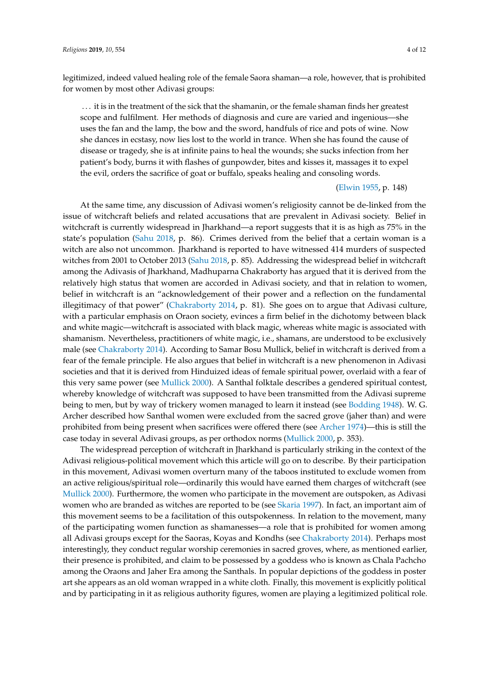legitimized, indeed valued healing role of the female Saora shaman—a role, however, that is prohibited for women by most other Adivasi groups:

. . . it is in the treatment of the sick that the shamanin, or the female shaman finds her greatest scope and fulfilment. Her methods of diagnosis and cure are varied and ingenious—she uses the fan and the lamp, the bow and the sword, handfuls of rice and pots of wine. Now she dances in ecstasy, now lies lost to the world in trance. When she has found the cause of disease or tragedy, she is at infinite pains to heal the wounds; she sucks infection from her patient's body, burns it with flashes of gunpowder, bites and kisses it, massages it to expel the evil, orders the sacrifice of goat or buffalo, speaks healing and consoling words.

[\(Elwin](#page-10-10) [1955,](#page-10-10) p. 148)

At the same time, any discussion of Adivasi women's religiosity cannot be de-linked from the issue of witchcraft beliefs and related accusations that are prevalent in Adivasi society. Belief in witchcraft is currently widespread in Jharkhand—a report suggests that it is as high as 75% in the state's population [\(Sahu](#page-11-10) [2018,](#page-11-10) p. 86). Crimes derived from the belief that a certain woman is a witch are also not uncommon. Jharkhand is reported to have witnessed 414 murders of suspected witches from 2001 to October 2013 [\(Sahu](#page-11-10) [2018,](#page-11-10) p. 85). Addressing the widespread belief in witchcraft among the Adivasis of Jharkhand, Madhuparna Chakraborty has argued that it is derived from the relatively high status that women are accorded in Adivasi society, and that in relation to women, belief in witchcraft is an "acknowledgement of their power and a reflection on the fundamental illegitimacy of that power" [\(Chakraborty](#page-10-11) [2014,](#page-10-11) p. 81). She goes on to argue that Adivasi culture, with a particular emphasis on Oraon society, evinces a firm belief in the dichotomy between black and white magic—witchcraft is associated with black magic, whereas white magic is associated with shamanism. Nevertheless, practitioners of white magic, i.e., shamans, are understood to be exclusively male (see [Chakraborty](#page-10-11) [2014\)](#page-10-11). According to Samar Bosu Mullick, belief in witchcraft is derived from a fear of the female principle. He also argues that belief in witchcraft is a new phenomenon in Adivasi societies and that it is derived from Hinduized ideas of female spiritual power, overlaid with a fear of this very same power (see [Mullick](#page-11-9) [2000\)](#page-11-9). A Santhal folktale describes a gendered spiritual contest, whereby knowledge of witchcraft was supposed to have been transmitted from the Adivasi supreme being to men, but by way of trickery women managed to learn it instead (see [Bodding](#page-10-12) [1948\)](#page-10-12). W. G. Archer described how Santhal women were excluded from the sacred grove (jaher than) and were prohibited from being present when sacrifices were offered there (see [Archer](#page-10-13) [1974\)](#page-10-13)—this is still the case today in several Adivasi groups, as per orthodox norms [\(Mullick](#page-11-9) [2000,](#page-11-9) p. 353).

The widespread perception of witchcraft in Jharkhand is particularly striking in the context of the Adivasi religious-political movement which this article will go on to describe. By their participation in this movement, Adivasi women overturn many of the taboos instituted to exclude women from an active religious/spiritual role—ordinarily this would have earned them charges of witchcraft (see [Mullick](#page-11-9) [2000\)](#page-11-9). Furthermore, the women who participate in the movement are outspoken, as Adivasi women who are branded as witches are reported to be (see [Skaria](#page-11-11) [1997\)](#page-11-11). In fact, an important aim of this movement seems to be a facilitation of this outspokenness. In relation to the movement, many of the participating women function as shamanesses—a role that is prohibited for women among all Adivasi groups except for the Saoras, Koyas and Kondhs (see [Chakraborty](#page-10-11) [2014\)](#page-10-11). Perhaps most interestingly, they conduct regular worship ceremonies in sacred groves, where, as mentioned earlier, their presence is prohibited, and claim to be possessed by a goddess who is known as Chala Pachcho among the Oraons and Jaher Era among the Santhals. In popular depictions of the goddess in poster art she appears as an old woman wrapped in a white cloth. Finally, this movement is explicitly political and by participating in it as religious authority figures, women are playing a legitimized political role.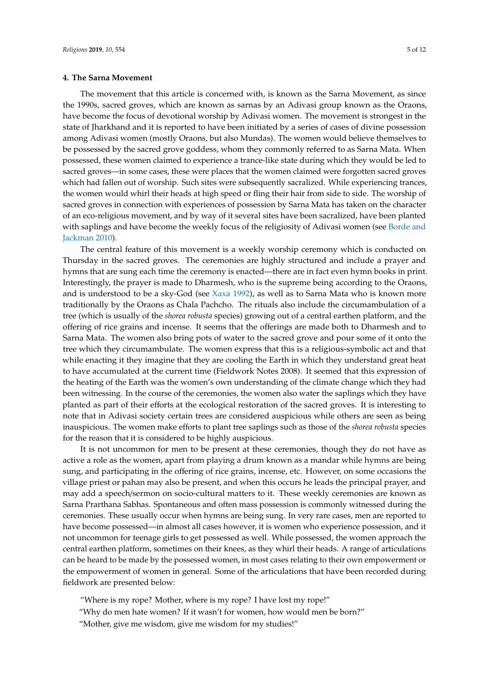### **4. The Sarna Movement**

The movement that this article is concerned with, is known as the Sarna Movement, as since the 1990s, sacred groves, which are known as sarnas by an Adivasi group known as the Oraons, have become the focus of devotional worship by Adivasi women. The movement is strongest in the state of Jharkhand and it is reported to have been initiated by a series of cases of divine possession among Adivasi women (mostly Oraons, but also Mundas). The women would believe themselves to be possessed by the sacred grove goddess, whom they commonly referred to as Sarna Mata. When possessed, these women claimed to experience a trance-like state during which they would be led to sacred groves—in some cases, these were places that the women claimed were forgotten sacred groves which had fallen out of worship. Such sites were subsequently sacralized. While experiencing trances, the women would whirl their heads at high speed or fling their hair from side to side. The worship of sacred groves in connection with experiences of possession by Sarna Mata has taken on the character of an eco-religious movement, and by way of it several sites have been sacralized, have been planted with saplings and have become the weekly focus of the religiosity of Adivasi women (see [Borde and](#page-10-14) [Jackman](#page-10-14) [2010\)](#page-10-14).

The central feature of this movement is a weekly worship ceremony which is conducted on Thursday in the sacred groves. The ceremonies are highly structured and include a prayer and hymns that are sung each time the ceremony is enacted—there are in fact even hymn books in print. Interestingly, the prayer is made to Dharmesh, who is the supreme being according to the Oraons, and is understood to be a sky-God (see [Xaxa](#page-11-12) [1992\)](#page-11-12), as well as to Sarna Mata who is known more traditionally by the Oraons as Chala Pachcho. The rituals also include the circumambulation of a tree (which is usually of the *shorea robusta* species) growing out of a central earthen platform, and the offering of rice grains and incense. It seems that the offerings are made both to Dharmesh and to Sarna Mata. The women also bring pots of water to the sacred grove and pour some of it onto the tree which they circumambulate. The women express that this is a religious-symbolic act and that while enacting it they imagine that they are cooling the Earth in which they understand great heat to have accumulated at the current time (Fieldwork Notes 2008). It seemed that this expression of the heating of the Earth was the women's own understanding of the climate change which they had been witnessing. In the course of the ceremonies, the women also water the saplings which they have planted as part of their efforts at the ecological restoration of the sacred groves. It is interesting to note that in Adivasi society certain trees are considered auspicious while others are seen as being inauspicious. The women make efforts to plant tree saplings such as those of the *shorea robusta* species for the reason that it is considered to be highly auspicious.

It is not uncommon for men to be present at these ceremonies, though they do not have as active a role as the women, apart from playing a drum known as a mandar while hymns are being sung, and participating in the offering of rice grains, incense, etc. However, on some occasions the village priest or pahan may also be present, and when this occurs he leads the principal prayer, and may add a speech/sermon on socio-cultural matters to it. These weekly ceremonies are known as Sarna Prarthana Sabhas. Spontaneous and often mass possession is commonly witnessed during the ceremonies. These usually occur when hymns are being sung. In very rare cases, men are reported to have become possessed—in almost all cases however, it is women who experience possession, and it not uncommon for teenage girls to get possessed as well. While possessed, the women approach the central earthen platform, sometimes on their knees, as they whirl their heads. A range of articulations can be heard to be made by the possessed women, in most cases relating to their own empowerment or the empowerment of women in general. Some of the articulations that have been recorded during fieldwork are presented below:

"Where is my rope? Mother, where is my rope? I have lost my rope!"

"Why do men hate women? If it wasn't for women, how would men be born?"

"Mother, give me wisdom, give me wisdom for my studies!"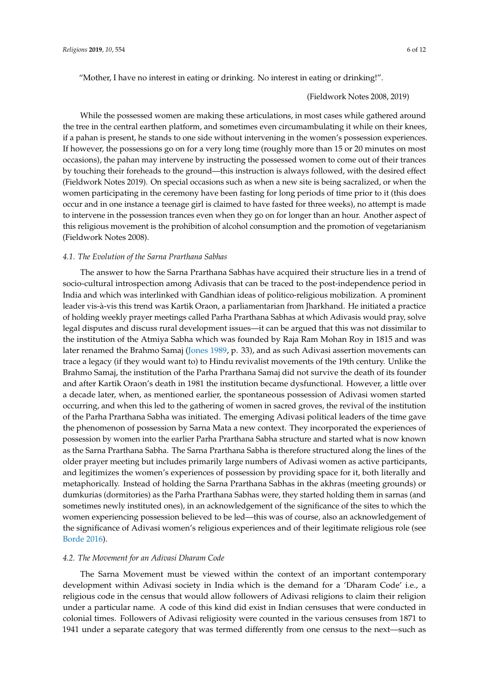"Mother, I have no interest in eating or drinking. No interest in eating or drinking!".

#### (Fieldwork Notes 2008, 2019)

While the possessed women are making these articulations, in most cases while gathered around the tree in the central earthen platform, and sometimes even circumambulating it while on their knees, if a pahan is present, he stands to one side without intervening in the women's possession experiences. If however, the possessions go on for a very long time (roughly more than 15 or 20 minutes on most occasions), the pahan may intervene by instructing the possessed women to come out of their trances by touching their foreheads to the ground—this instruction is always followed, with the desired effect (Fieldwork Notes 2019). On special occasions such as when a new site is being sacralized, or when the women participating in the ceremony have been fasting for long periods of time prior to it (this does occur and in one instance a teenage girl is claimed to have fasted for three weeks), no attempt is made to intervene in the possession trances even when they go on for longer than an hour. Another aspect of this religious movement is the prohibition of alcohol consumption and the promotion of vegetarianism (Fieldwork Notes 2008).

#### *4.1. The Evolution of the Sarna Prarthana Sabhas*

The answer to how the Sarna Prarthana Sabhas have acquired their structure lies in a trend of socio-cultural introspection among Adivasis that can be traced to the post-independence period in India and which was interlinked with Gandhian ideas of politico-religious mobilization. A prominent leader vis-à-vis this trend was Kartik Oraon, a parliamentarian from Jharkhand. He initiated a practice of holding weekly prayer meetings called Parha Prarthana Sabhas at which Adivasis would pray, solve legal disputes and discuss rural development issues—it can be argued that this was not dissimilar to the institution of the Atmiya Sabha which was founded by Raja Ram Mohan Roy in 1815 and was later renamed the Brahmo Samaj [\(Jones](#page-10-15) [1989,](#page-10-15) p. 33), and as such Adivasi assertion movements can trace a legacy (if they would want to) to Hindu revivalist movements of the 19th century. Unlike the Brahmo Samaj, the institution of the Parha Prarthana Samaj did not survive the death of its founder and after Kartik Oraon's death in 1981 the institution became dysfunctional. However, a little over a decade later, when, as mentioned earlier, the spontaneous possession of Adivasi women started occurring, and when this led to the gathering of women in sacred groves, the revival of the institution of the Parha Prarthana Sabha was initiated. The emerging Adivasi political leaders of the time gave the phenomenon of possession by Sarna Mata a new context. They incorporated the experiences of possession by women into the earlier Parha Prarthana Sabha structure and started what is now known as the Sarna Prarthana Sabha. The Sarna Prarthana Sabha is therefore structured along the lines of the older prayer meeting but includes primarily large numbers of Adivasi women as active participants, and legitimizes the women's experiences of possession by providing space for it, both literally and metaphorically. Instead of holding the Sarna Prarthana Sabhas in the akhras (meeting grounds) or dumkurias (dormitories) as the Parha Prarthana Sabhas were, they started holding them in sarnas (and sometimes newly instituted ones), in an acknowledgement of the significance of the sites to which the women experiencing possession believed to be led—this was of course, also an acknowledgement of the significance of Adivasi women's religious experiences and of their legitimate religious role (see [Borde](#page-10-16) [2016\)](#page-10-16).

#### *4.2. The Movement for an Adivasi Dharam Code*

The Sarna Movement must be viewed within the context of an important contemporary development within Adivasi society in India which is the demand for a 'Dharam Code' i.e., a religious code in the census that would allow followers of Adivasi religions to claim their religion under a particular name. A code of this kind did exist in Indian censuses that were conducted in colonial times. Followers of Adivasi religiosity were counted in the various censuses from 1871 to 1941 under a separate category that was termed differently from one census to the next—such as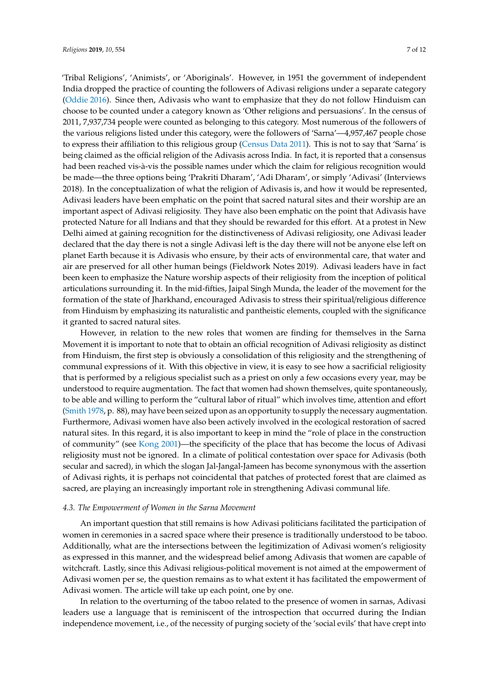'Tribal Religions', 'Animists', or 'Aboriginals'. However, in 1951 the government of independent India dropped the practice of counting the followers of Adivasi religions under a separate category [\(Oddie](#page-11-13) [2016\)](#page-11-13). Since then, Adivasis who want to emphasize that they do not follow Hinduism can choose to be counted under a category known as 'Other religions and persuasions'. In the census of 2011, 7,937,734 people were counted as belonging to this category. Most numerous of the followers of the various religions listed under this category, were the followers of 'Sarna'—4,957,467 people chose to express their affiliation to this religious group [\(Census Data](#page-10-17) [2011\)](#page-10-17). This is not to say that 'Sarna' is being claimed as the official religion of the Adivasis across India. In fact, it is reported that a consensus had been reached vis-à-vis the possible names under which the claim for religious recognition would be made—the three options being 'Prakriti Dharam', 'Adi Dharam', or simply 'Adivasi' (Interviews 2018). In the conceptualization of what the religion of Adivasis is, and how it would be represented, Adivasi leaders have been emphatic on the point that sacred natural sites and their worship are an important aspect of Adivasi religiosity. They have also been emphatic on the point that Adivasis have protected Nature for all Indians and that they should be rewarded for this effort. At a protest in New Delhi aimed at gaining recognition for the distinctiveness of Adivasi religiosity, one Adivasi leader declared that the day there is not a single Adivasi left is the day there will not be anyone else left on planet Earth because it is Adivasis who ensure, by their acts of environmental care, that water and air are preserved for all other human beings (Fieldwork Notes 2019). Adivasi leaders have in fact been keen to emphasize the Nature worship aspects of their religiosity from the inception of political articulations surrounding it. In the mid-fifties, Jaipal Singh Munda, the leader of the movement for the formation of the state of Jharkhand, encouraged Adivasis to stress their spiritual/religious difference from Hinduism by emphasizing its naturalistic and pantheistic elements, coupled with the significance it granted to sacred natural sites.

However, in relation to the new roles that women are finding for themselves in the Sarna Movement it is important to note that to obtain an official recognition of Adivasi religiosity as distinct from Hinduism, the first step is obviously a consolidation of this religiosity and the strengthening of communal expressions of it. With this objective in view, it is easy to see how a sacrificial religiosity that is performed by a religious specialist such as a priest on only a few occasions every year, may be understood to require augmentation. The fact that women had shown themselves, quite spontaneously, to be able and willing to perform the "cultural labor of ritual" which involves time, attention and effort [\(Smith](#page-11-14) [1978,](#page-11-14) p. 88), may have been seized upon as an opportunity to supply the necessary augmentation. Furthermore, Adivasi women have also been actively involved in the ecological restoration of sacred natural sites. In this regard, it is also important to keep in mind the "role of place in the construction of community" (see [Kong](#page-11-15) [2001\)](#page-11-15)—the specificity of the place that has become the locus of Adivasi religiosity must not be ignored. In a climate of political contestation over space for Adivasis (both secular and sacred), in which the slogan Jal-Jangal-Jameen has become synonymous with the assertion of Adivasi rights, it is perhaps not coincidental that patches of protected forest that are claimed as sacred, are playing an increasingly important role in strengthening Adivasi communal life.

## *4.3. The Empowerment of Women in the Sarna Movement*

An important question that still remains is how Adivasi politicians facilitated the participation of women in ceremonies in a sacred space where their presence is traditionally understood to be taboo. Additionally, what are the intersections between the legitimization of Adivasi women's religiosity as expressed in this manner, and the widespread belief among Adivasis that women are capable of witchcraft. Lastly, since this Adivasi religious-political movement is not aimed at the empowerment of Adivasi women per se, the question remains as to what extent it has facilitated the empowerment of Adivasi women. The article will take up each point, one by one.

In relation to the overturning of the taboo related to the presence of women in sarnas, Adivasi leaders use a language that is reminiscent of the introspection that occurred during the Indian independence movement, i.e., of the necessity of purging society of the 'social evils' that have crept into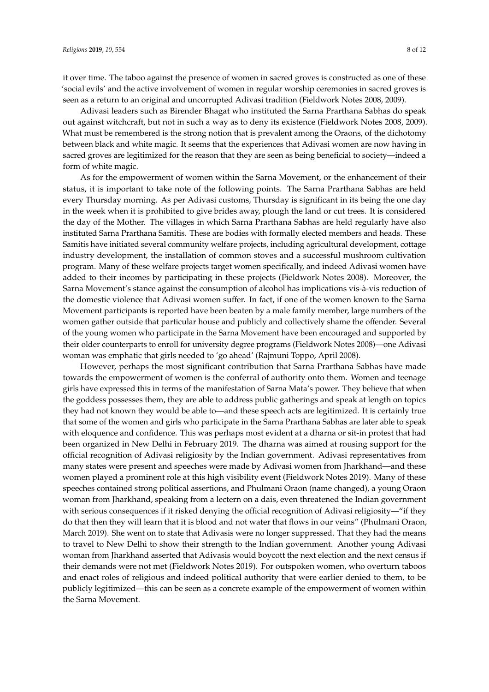it over time. The taboo against the presence of women in sacred groves is constructed as one of these 'social evils' and the active involvement of women in regular worship ceremonies in sacred groves is seen as a return to an original and uncorrupted Adivasi tradition (Fieldwork Notes 2008, 2009).

Adivasi leaders such as Birender Bhagat who instituted the Sarna Prarthana Sabhas do speak out against witchcraft, but not in such a way as to deny its existence (Fieldwork Notes 2008, 2009). What must be remembered is the strong notion that is prevalent among the Oraons, of the dichotomy between black and white magic. It seems that the experiences that Adivasi women are now having in sacred groves are legitimized for the reason that they are seen as being beneficial to society—indeed a form of white magic.

As for the empowerment of women within the Sarna Movement, or the enhancement of their status, it is important to take note of the following points. The Sarna Prarthana Sabhas are held every Thursday morning. As per Adivasi customs, Thursday is significant in its being the one day in the week when it is prohibited to give brides away, plough the land or cut trees. It is considered the day of the Mother. The villages in which Sarna Prarthana Sabhas are held regularly have also instituted Sarna Prarthana Samitis. These are bodies with formally elected members and heads. These Samitis have initiated several community welfare projects, including agricultural development, cottage industry development, the installation of common stoves and a successful mushroom cultivation program. Many of these welfare projects target women specifically, and indeed Adivasi women have added to their incomes by participating in these projects (Fieldwork Notes 2008). Moreover, the Sarna Movement's stance against the consumption of alcohol has implications vis-à-vis reduction of the domestic violence that Adivasi women suffer. In fact, if one of the women known to the Sarna Movement participants is reported have been beaten by a male family member, large numbers of the women gather outside that particular house and publicly and collectively shame the offender. Several of the young women who participate in the Sarna Movement have been encouraged and supported by their older counterparts to enroll for university degree programs (Fieldwork Notes 2008)—one Adivasi woman was emphatic that girls needed to 'go ahead' (Rajmuni Toppo, April 2008).

However, perhaps the most significant contribution that Sarna Prarthana Sabhas have made towards the empowerment of women is the conferral of authority onto them. Women and teenage girls have expressed this in terms of the manifestation of Sarna Mata's power. They believe that when the goddess possesses them, they are able to address public gatherings and speak at length on topics they had not known they would be able to—and these speech acts are legitimized. It is certainly true that some of the women and girls who participate in the Sarna Prarthana Sabhas are later able to speak with eloquence and confidence. This was perhaps most evident at a dharna or sit-in protest that had been organized in New Delhi in February 2019. The dharna was aimed at rousing support for the official recognition of Adivasi religiosity by the Indian government. Adivasi representatives from many states were present and speeches were made by Adivasi women from Jharkhand—and these women played a prominent role at this high visibility event (Fieldwork Notes 2019). Many of these speeches contained strong political assertions, and Phulmani Oraon (name changed), a young Oraon woman from Jharkhand, speaking from a lectern on a dais, even threatened the Indian government with serious consequences if it risked denying the official recognition of Adivasi religiosity—"if they do that then they will learn that it is blood and not water that flows in our veins" (Phulmani Oraon, March 2019). She went on to state that Adivasis were no longer suppressed. That they had the means to travel to New Delhi to show their strength to the Indian government. Another young Adivasi woman from Jharkhand asserted that Adivasis would boycott the next election and the next census if their demands were not met (Fieldwork Notes 2019). For outspoken women, who overturn taboos and enact roles of religious and indeed political authority that were earlier denied to them, to be publicly legitimized—this can be seen as a concrete example of the empowerment of women within the Sarna Movement.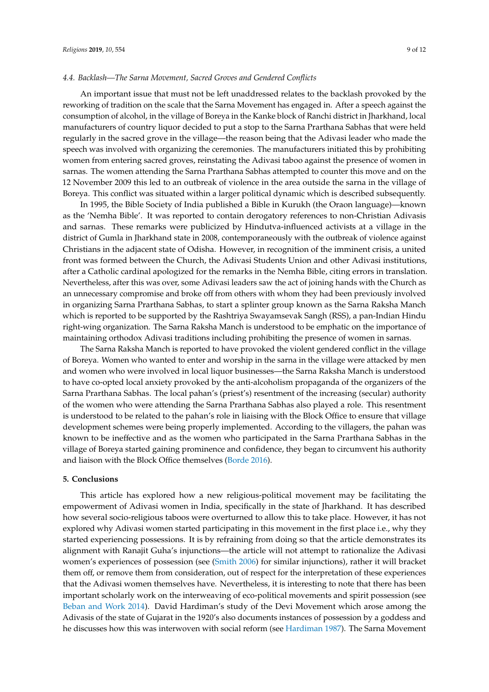## *4.4. Backlash—The Sarna Movement, Sacred Groves and Gendered Conflicts*

An important issue that must not be left unaddressed relates to the backlash provoked by the reworking of tradition on the scale that the Sarna Movement has engaged in. After a speech against the consumption of alcohol, in the village of Boreya in the Kanke block of Ranchi district in Jharkhand, local manufacturers of country liquor decided to put a stop to the Sarna Prarthana Sabhas that were held regularly in the sacred grove in the village—the reason being that the Adivasi leader who made the speech was involved with organizing the ceremonies. The manufacturers initiated this by prohibiting women from entering sacred groves, reinstating the Adivasi taboo against the presence of women in sarnas. The women attending the Sarna Prarthana Sabhas attempted to counter this move and on the 12 November 2009 this led to an outbreak of violence in the area outside the sarna in the village of Boreya. This conflict was situated within a larger political dynamic which is described subsequently.

In 1995, the Bible Society of India published a Bible in Kurukh (the Oraon language)—known as the 'Nemha Bible'. It was reported to contain derogatory references to non-Christian Adivasis and sarnas. These remarks were publicized by Hindutva-influenced activists at a village in the district of Gumla in Jharkhand state in 2008, contemporaneously with the outbreak of violence against Christians in the adjacent state of Odisha. However, in recognition of the imminent crisis, a united front was formed between the Church, the Adivasi Students Union and other Adivasi institutions, after a Catholic cardinal apologized for the remarks in the Nemha Bible, citing errors in translation. Nevertheless, after this was over, some Adivasi leaders saw the act of joining hands with the Church as an unnecessary compromise and broke off from others with whom they had been previously involved in organizing Sarna Prarthana Sabhas, to start a splinter group known as the Sarna Raksha Manch which is reported to be supported by the Rashtriya Swayamsevak Sangh (RSS), a pan-Indian Hindu right-wing organization. The Sarna Raksha Manch is understood to be emphatic on the importance of maintaining orthodox Adivasi traditions including prohibiting the presence of women in sarnas.

The Sarna Raksha Manch is reported to have provoked the violent gendered conflict in the village of Boreya. Women who wanted to enter and worship in the sarna in the village were attacked by men and women who were involved in local liquor businesses—the Sarna Raksha Manch is understood to have co-opted local anxiety provoked by the anti-alcoholism propaganda of the organizers of the Sarna Prarthana Sabhas. The local pahan's (priest's) resentment of the increasing (secular) authority of the women who were attending the Sarna Prarthana Sabhas also played a role. This resentment is understood to be related to the pahan's role in liaising with the Block Office to ensure that village development schemes were being properly implemented. According to the villagers, the pahan was known to be ineffective and as the women who participated in the Sarna Prarthana Sabhas in the village of Boreya started gaining prominence and confidence, they began to circumvent his authority and liaison with the Block Office themselves [\(Borde](#page-10-16) [2016\)](#page-10-16).

# **5. Conclusions**

This article has explored how a new religious-political movement may be facilitating the empowerment of Adivasi women in India, specifically in the state of Jharkhand. It has described how several socio-religious taboos were overturned to allow this to take place. However, it has not explored why Adivasi women started participating in this movement in the first place i.e., why they started experiencing possessions. It is by refraining from doing so that the article demonstrates its alignment with Ranajit Guha's injunctions—the article will not attempt to rationalize the Adivasi women's experiences of possession (see [\(Smith](#page-11-16) [2006\)](#page-11-16) for similar injunctions), rather it will bracket them off, or remove them from consideration, out of respect for the interpretation of these experiences that the Adivasi women themselves have. Nevertheless, it is interesting to note that there has been important scholarly work on the interweaving of eco-political movements and spirit possession (see [Beban and Work](#page-10-18) [2014\)](#page-10-18). David Hardiman's study of the Devi Movement which arose among the Adivasis of the state of Gujarat in the 1920's also documents instances of possession by a goddess and he discusses how this was interwoven with social reform (see [Hardiman](#page-10-19) [1987\)](#page-10-19). The Sarna Movement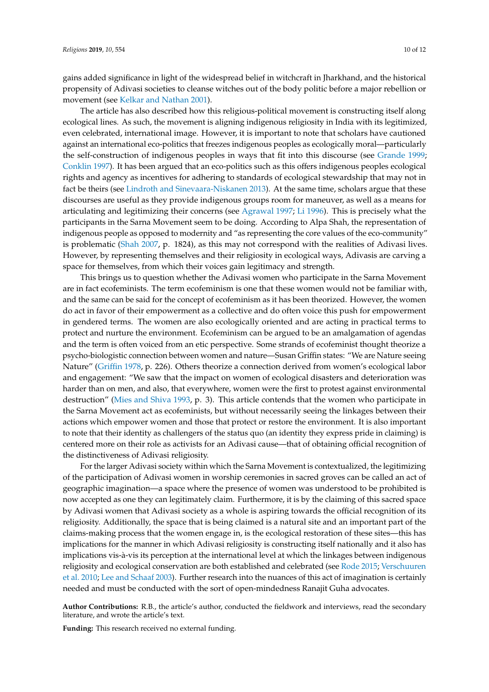gains added significance in light of the widespread belief in witchcraft in Jharkhand, and the historical propensity of Adivasi societies to cleanse witches out of the body politic before a major rebellion or movement (see [Kelkar and Nathan](#page-11-17) [2001\)](#page-11-17).

The article has also described how this religious-political movement is constructing itself along ecological lines. As such, the movement is aligning indigenous religiosity in India with its legitimized, even celebrated, international image. However, it is important to note that scholars have cautioned against an international eco-politics that freezes indigenous peoples as ecologically moral—particularly the self-construction of indigenous peoples in ways that fit into this discourse (see [Grande](#page-10-20) [1999;](#page-10-20) [Conklin](#page-10-21) [1997\)](#page-10-21). It has been argued that an eco-politics such as this offers indigenous peoples ecological rights and agency as incentives for adhering to standards of ecological stewardship that may not in fact be theirs (see [Lindroth and Sinevaara-Niskanen](#page-11-18) [2013\)](#page-11-18). At the same time, scholars argue that these discourses are useful as they provide indigenous groups room for maneuver, as well as a means for articulating and legitimizing their concerns (see [Agrawal](#page-10-22) [1997;](#page-10-22) [Li](#page-11-19) [1996\)](#page-11-19). This is precisely what the participants in the Sarna Movement seem to be doing. According to Alpa Shah, the representation of indigenous people as opposed to modernity and "as representing the core values of the eco-community" is problematic [\(Shah](#page-11-8) [2007,](#page-11-8) p. 1824), as this may not correspond with the realities of Adivasi lives. However, by representing themselves and their religiosity in ecological ways, Adivasis are carving a space for themselves, from which their voices gain legitimacy and strength.

This brings us to question whether the Adivasi women who participate in the Sarna Movement are in fact ecofeminists. The term ecofeminism is one that these women would not be familiar with, and the same can be said for the concept of ecofeminism as it has been theorized. However, the women do act in favor of their empowerment as a collective and do often voice this push for empowerment in gendered terms. The women are also ecologically oriented and are acting in practical terms to protect and nurture the environment. Ecofeminism can be argued to be an amalgamation of agendas and the term is often voiced from an etic perspective. Some strands of ecofeminist thought theorize a psycho-biologistic connection between women and nature—Susan Griffin states: "We are Nature seeing Nature" [\(Gri](#page-10-23)ffin [1978,](#page-10-23) p. 226). Others theorize a connection derived from women's ecological labor and engagement: "We saw that the impact on women of ecological disasters and deterioration was harder than on men, and also, that everywhere, women were the first to protest against environmental destruction" [\(Mies and Shiva](#page-11-20) [1993,](#page-11-20) p. 3). This article contends that the women who participate in the Sarna Movement act as ecofeminists, but without necessarily seeing the linkages between their actions which empower women and those that protect or restore the environment. It is also important to note that their identity as challengers of the status quo (an identity they express pride in claiming) is centered more on their role as activists for an Adivasi cause—that of obtaining official recognition of the distinctiveness of Adivasi religiosity.

For the larger Adivasi society within which the Sarna Movement is contextualized, the legitimizing of the participation of Adivasi women in worship ceremonies in sacred groves can be called an act of geographic imagination—a space where the presence of women was understood to be prohibited is now accepted as one they can legitimately claim. Furthermore, it is by the claiming of this sacred space by Adivasi women that Adivasi society as a whole is aspiring towards the official recognition of its religiosity. Additionally, the space that is being claimed is a natural site and an important part of the claims-making process that the women engage in, is the ecological restoration of these sites—this has implications for the manner in which Adivasi religiosity is constructing itself nationally and it also has implications vis-à-vis its perception at the international level at which the linkages between indigenous religiosity and ecological conservation are both established and celebrated (see [Rode](#page-11-21) [2015;](#page-11-21) [Verschuuren](#page-11-22) [et al.](#page-11-22) [2010;](#page-11-22) [Lee and Schaaf](#page-11-23) [2003\)](#page-11-23). Further research into the nuances of this act of imagination is certainly needed and must be conducted with the sort of open-mindedness Ranajit Guha advocates.

**Author Contributions:** R.B., the article's author, conducted the fieldwork and interviews, read the secondary literature, and wrote the article's text.

**Funding:** This research received no external funding.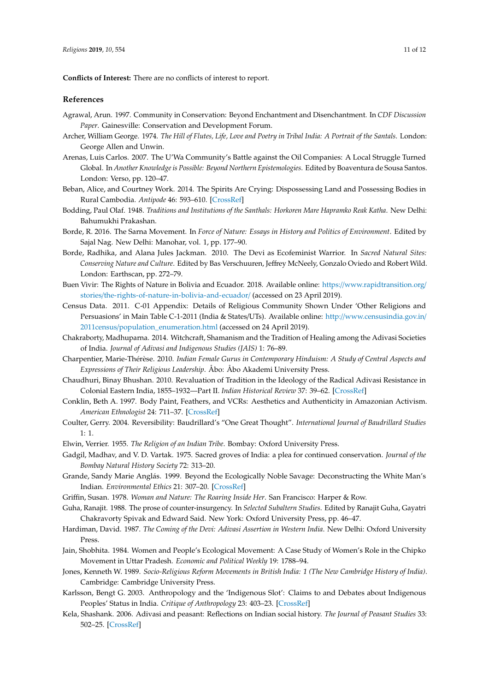**Conflicts of Interest:** There are no conflicts of interest to report.

#### **References**

- <span id="page-10-22"></span>Agrawal, Arun. 1997. Community in Conservation: Beyond Enchantment and Disenchantment. In *CDF Discussion Paper*. Gainesville: Conservation and Development Forum.
- <span id="page-10-13"></span>Archer, William George. 1974. *The Hill of Flutes, Life, Love and Poetry in Tribal India: A Portrait of the Santals*. London: George Allen and Unwin.
- <span id="page-10-6"></span>Arenas, Luis Carlos. 2007. The U'Wa Community's Battle against the Oil Companies: A Local Struggle Turned Global. In *Another Knowledge is Possible: Beyond Northern Epistemologies*. Edited by Boaventura de Sousa Santos. London: Verso, pp. 120–47.
- <span id="page-10-18"></span>Beban, Alice, and Courtney Work. 2014. The Spirits Are Crying: Dispossessing Land and Possessing Bodies in Rural Cambodia. *Antipode* 46: 593–610. [\[CrossRef\]](http://dx.doi.org/10.1111/anti.12073)
- <span id="page-10-12"></span>Bodding, Paul Olaf. 1948. *Traditions and Institutions of the Santhals: Horkoren Mare Hapramko Reak Katha*. New Delhi: Bahumukhi Prakashan.
- <span id="page-10-16"></span>Borde, R. 2016. The Sarna Movement. In *Force of Nature: Essays in History and Politics of Environment*. Edited by Sajal Nag. New Delhi: Manohar, vol. 1, pp. 177–90.
- <span id="page-10-14"></span>Borde, Radhika, and Alana Jules Jackman. 2010. The Devi as Ecofeminist Warrior. In *Sacred Natural Sites: Conserving Nature and Culture*. Edited by Bas Verschuuren, Jeffrey McNeely, Gonzalo Oviedo and Robert Wild. London: Earthscan, pp. 272–79.
- <span id="page-10-9"></span>Buen Vivir: The Rights of Nature in Bolivia and Ecuador. 2018. Available online: https://[www.rapidtransition.org](https://www.rapidtransition.org/stories/the-rights-of-nature-in-bolivia-and-ecuador/)/ stories/[the-rights-of-nature-in-bolivia-and-ecuador](https://www.rapidtransition.org/stories/the-rights-of-nature-in-bolivia-and-ecuador/)/ (accessed on 23 April 2019).
- <span id="page-10-17"></span>Census Data. 2011. C-01 Appendix: Details of Religious Community Shown Under 'Other Religions and Persuasions' in Main Table C-1-2011 (India & States/UTs). Available online: http://[www.censusindia.gov.in](http://www.censusindia.gov.in/2011census/population_enumeration.html)/ 2011census/[population\\_enumeration.html](http://www.censusindia.gov.in/2011census/population_enumeration.html) (accessed on 24 April 2019).
- <span id="page-10-11"></span>Chakraborty, Madhuparna. 2014. Witchcraft, Shamanism and the Tradition of Healing among the Adivasi Societies of India. *Journal of Adivasi and Indigenous Studies (JAIS)* 1: 76–89.
- <span id="page-10-8"></span>Charpentier, Marie-Thérèse. 2010. *Indian Female Gurus in Contemporary Hinduism: A Study of Central Aspects and Expressions of Their Religious Leadership*. Åbo: Åbo Akademi University Press.
- <span id="page-10-4"></span>Chaudhuri, Binay Bhushan. 2010. Revaluation of Tradition in the Ideology of the Radical Adivasi Resistance in Colonial Eastern India, 1855–1932—Part II. *Indian Historical Review* 37: 39–62. [\[CrossRef\]](http://dx.doi.org/10.1177/037698361003700103)
- <span id="page-10-21"></span>Conklin, Beth A. 1997. Body Paint, Feathers, and VCRs: Aesthetics and Authenticity in Amazonian Activism. *American Ethnologist* 24: 711–37. [\[CrossRef\]](http://dx.doi.org/10.1525/ae.1997.24.4.711)
- <span id="page-10-7"></span>Coulter, Gerry. 2004. Reversibility: Baudrillard's "One Great Thought". *International Journal of Baudrillard Studies* 1: 1.
- <span id="page-10-10"></span>Elwin, Verrier. 1955. *The Religion of an Indian Tribe*. Bombay: Oxford University Press.
- <span id="page-10-0"></span>Gadgil, Madhav, and V. D. Vartak. 1975. Sacred groves of India: a plea for continued conservation. *Journal of the Bombay Natural History Society* 72: 313–20.
- <span id="page-10-20"></span>Grande, Sandy Marie Anglás. 1999. Beyond the Ecologically Noble Savage: Deconstructing the White Man's Indian. *Environmental Ethics* 21: 307–20. [\[CrossRef\]](http://dx.doi.org/10.5840/enviroethics199921320)
- <span id="page-10-23"></span>Griffin, Susan. 1978. *Woman and Nature: The Roaring Inside Her*. San Francisco: Harper & Row.
- <span id="page-10-5"></span>Guha, Ranajit. 1988. The prose of counter-insurgency. In *Selected Subaltern Studies*. Edited by Ranajit Guha, Gayatri Chakravorty Spivak and Edward Said. New York: Oxford University Press, pp. 46–47.
- <span id="page-10-19"></span>Hardiman, David. 1987. *The Coming of the Devi: Adivasi Assertion in Western India*. New Delhi: Oxford University Press.
- <span id="page-10-3"></span>Jain, Shobhita. 1984. Women and People's Ecological Movement: A Case Study of Women's Role in the Chipko Movement in Uttar Pradesh. *Economic and Political Weekly* 19: 1788–94.
- <span id="page-10-15"></span>Jones, Kenneth W. 1989. *Socio-Religious Reform Movements in British India: 1 (The New Cambridge History of India)*. Cambridge: Cambridge University Press.
- <span id="page-10-1"></span>Karlsson, Bengt G. 2003. Anthropology and the 'Indigenous Slot': Claims to and Debates about Indigenous Peoples' Status in India. *Critique of Anthropology* 23: 403–23. [\[CrossRef\]](http://dx.doi.org/10.1177/0308275X03234003)
- <span id="page-10-2"></span>Kela, Shashank. 2006. Adivasi and peasant: Reflections on Indian social history. *The Journal of Peasant Studies* 33: 502–25. [\[CrossRef\]](http://dx.doi.org/10.1080/03066150601063074)